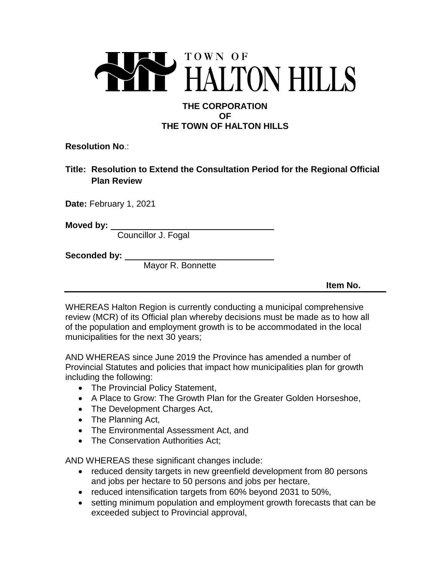

## **THE CORPORATION OF THE TOWN OF HALTON HILLS**

**Resolution No**.:

**Title: Resolution to Extend the Consultation Period for the Regional Official Plan Review**

**Date:** February 1, 2021

**Moved by:** 

Councillor J. Fogal

**Seconded by:** 

Mayor R. Bonnette

**Item No.** 

WHEREAS Halton Region is currently conducting a municipal comprehensive review (MCR) of its Official plan whereby decisions must be made as to how all of the population and employment growth is to be accommodated in the local municipalities for the next 30 years;

AND WHEREAS since June 2019 the Province has amended a number of Provincial Statutes and policies that impact how municipalities plan for growth including the following:

- The Provincial Policy Statement,
- A Place to Grow: The Growth Plan for the Greater Golden Horseshoe,
- The Development Charges Act,
- The Planning Act,
- The Environmental Assessment Act, and
- The Conservation Authorities Act;

AND WHEREAS these significant changes include:

- reduced density targets in new greenfield development from 80 persons and jobs per hectare to 50 persons and jobs per hectare,
- reduced intensification targets from 60% beyond 2031 to 50%,
- setting minimum population and employment growth forecasts that can be exceeded subject to Provincial approval,